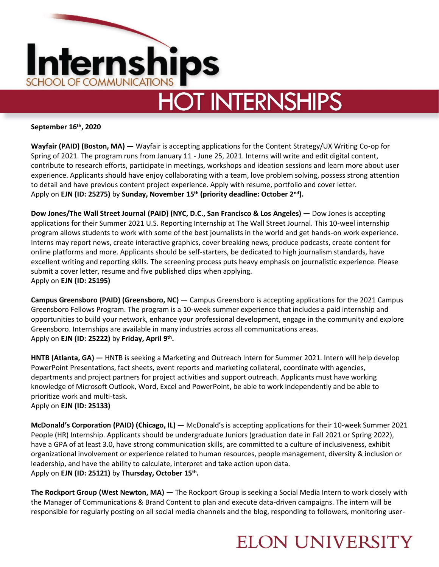

**September 16th, 2020**

**Wayfair (PAID) (Boston, MA) —** Wayfair is accepting applications for the Content Strategy/UX Writing Co-op for Spring of 2021. The program runs from January 11 - June 25, 2021. Interns will write and edit digital content, contribute to research efforts, participate in meetings, workshops and ideation sessions and learn more about user experience. Applicants should have enjoy collaborating with a team, love problem solving, possess strong attention to detail and have previous content project experience. Apply with resume, portfolio and cover letter. Apply on **EJN (ID: 25275)** by **Sunday, November 15th (priority deadline: October 2nd).**

**Dow Jones/The Wall Street Journal (PAID) (NYC, D.C., San Francisco & Los Angeles) —** Dow Jones is accepting applications for their Summer 2021 U.S. Reporting Internship at The Wall Street Journal. This 10-weel internship program allows students to work with some of the best journalists in the world and get hands-on work experience. Interns may report news, create interactive graphics, cover breaking news, produce podcasts, create content for online platforms and more. Applicants should be self-starters, be dedicated to high journalism standards, have excellent writing and reporting skills. The screening process puts heavy emphasis on journalistic experience. Please submit a cover letter, resume and five published clips when applying. Apply on **EJN (ID: 25195)**

**Campus Greensboro (PAID) (Greensboro, NC) —** Campus Greensboro is accepting applications for the 2021 Campus Greensboro Fellows Program. The program is a 10-week summer experience that includes a paid internship and opportunities to build your network, enhance your professional development, engage in the community and explore Greensboro. Internships are available in many industries across all communications areas. Apply on **EJN (ID: 25222)** by **Friday, April 9th .**

**HNTB (Atlanta, GA) —** HNTB is seeking a Marketing and Outreach Intern for Summer 2021. Intern will help develop PowerPoint Presentations, fact sheets, event reports and marketing collateral, coordinate with agencies, departments and project partners for project activities and support outreach. Applicants must have working knowledge of Microsoft Outlook, Word, Excel and PowerPoint, be able to work independently and be able to prioritize work and multi-task.

Apply on **EJN (ID: 25133)** 

**McDonald's Corporation (PAID) (Chicago, IL) —** McDonald's is accepting applications for their 10-week Summer 2021 People (HR) Internship. Applicants should be undergraduate Juniors (graduation date in Fall 2021 or Spring 2022), have a GPA of at least 3.0, have strong communication skills, are committed to a culture of inclusiveness, exhibit organizational involvement or experience related to human resources, people management, diversity & inclusion or leadership, and have the ability to calculate, interpret and take action upon data. Apply on **EJN (ID: 25121)** by **Thursday, October 15th .**

**The Rockport Group (West Newton, MA) —** The Rockport Group is seeking a Social Media Intern to work closely with the Manager of Communications & Brand Content to plan and execute data-driven campaigns. The intern will be responsible for regularly posting on all social media channels and the blog, responding to followers, monitoring user-

## **ELON UNIVERSITY**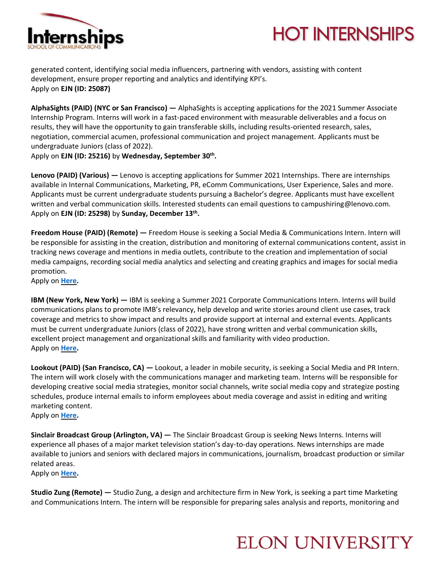



generated content, identifying social media influencers, partnering with vendors, assisting with content development, ensure proper reporting and analytics and identifying KPI's. Apply on **EJN (ID: 25087)** 

**AlphaSights (PAID) (NYC or San Francisco) —** AlphaSights is accepting applications for the 2021 Summer Associate Internship Program. Interns will work in a fast-paced environment with measurable deliverables and a focus on results, they will have the opportunity to gain transferable skills, including results-oriented research, sales, negotiation, commercial acumen, professional communication and project management. Applicants must be undergraduate Juniors (class of 2022).

Apply on **EJN (ID: 25216)** by **Wednesday, September 30th .**

**Lenovo (PAID) (Various) —** Lenovo is accepting applications for Summer 2021 Internships. There are internships available in Internal Communications, Marketing, PR, eComm Communications, User Experience, Sales and more. Applicants must be current undergraduate students pursuing a Bachelor's degree. Applicants must have excellent written and verbal communication skills. Interested students can email questions to campushiring@lenovo.com. Apply on **EJN (ID: 25298)** by **Sunday, December 13th .**

**Freedom House (PAID) (Remote) —** Freedom House is seeking a Social Media & Communications Intern. Intern will be responsible for assisting in the creation, distribution and monitoring of external communications content, assist in tracking news coverage and mentions in media outlets, contribute to the creation and implementation of social media campaigns, recording social media analytics and selecting and creating graphics and images for social media promotion.

Apply on **[Here.](https://www.linkup.com/details/9f89ee4f1020032bb33a40ae5a51b16b)**

**IBM (New York, New York) —** IBM is seeking a Summer 2021 Corporate Communications Intern. Interns will build communications plans to promote IMB's relevancy, help develop and write stories around client use cases, track coverage and metrics to show impact and results and provide support at internal and external events. Applicants must be current undergraduate Juniors (class of 2022), have strong written and verbal communication skills, excellent project management and organizational skills and familiarity with video production. Apply on **[Here.](https://careers.ibm.com/ShowJob/Id/978420/2021%20Intern%20%20IBM%20Corporate%20Communications)**

**Lookout (PAID) (San Francisco, CA) —** Lookout, a leader in mobile security, is seeking a Social Media and PR Intern. The intern will work closely with the communications manager and marketing team. Interns will be responsible for developing creative social media strategies, monitor social channels, write social media copy and strategize posting schedules, produce internal emails to inform employees about media coverage and assist in editing and writing marketing content.

Apply on **[Here.](https://www.linkedin.com/jobs/search/?currentJobId=1995017341&keywords=communications%20internship)**

**Sinclair Broadcast Group (Arlington, VA) —** The Sinclair Broadcast Group is seeking News Interns. Interns will experience all phases of a major market television station's day-to-day operations. News internships are made available to juniors and seniors with declared majors in communications, journalism, broadcast production or similar related areas.

Apply on **[Here.](https://edyy.fa.us2.oraclecloud.com/hcmUI/CandidateExperience/en/sites/CX_2002/requisitions/preview/2959)** 

**Studio Zung (Remote) —** Studio Zung, a design and architecture firm in New York, is seeking a part time Marketing and Communications Intern. The intern will be responsible for preparing sales analysis and reports, monitoring and

## **ELON UNIVERSITY**